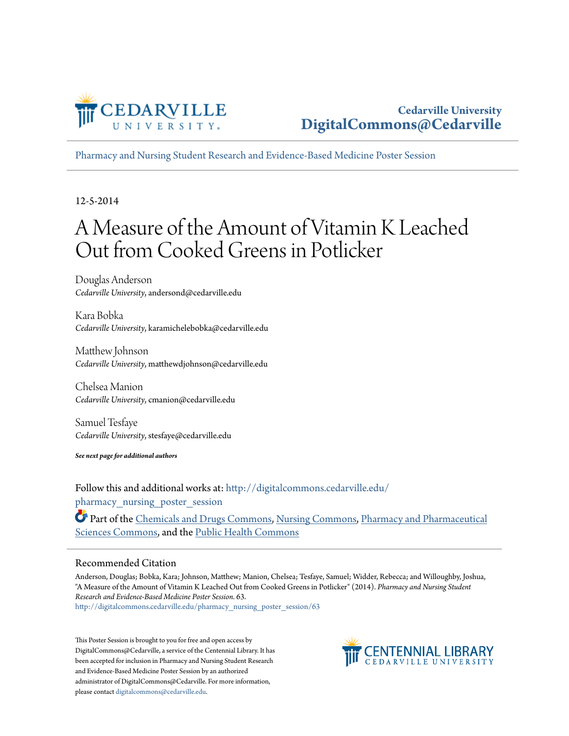

[Pharmacy and Nursing Student Research and Evidence-Based Medicine Poster Session](http://digitalcommons.cedarville.edu/pharmacy_nursing_poster_session?utm_source=digitalcommons.cedarville.edu%2Fpharmacy_nursing_poster_session%2F63&utm_medium=PDF&utm_campaign=PDFCoverPages)

12-5-2014

#### A Measure of the Amount of Vitamin K Leached Out from Cooked Greens in Potlicker

Douglas Anderson *Cedarville University*, andersond@cedarville.edu

Kara Bobka *Cedarville University*, karamichelebobka@cedarville.edu

Matthew Johnson *Cedarville University*, matthewdjohnson@cedarville.edu

Chelsea Manion *Cedarville University*, cmanion@cedarville.edu

Samuel Tesfaye *Cedarville University*, stesfaye@cedarville.edu

*See next page for additional authors*

Follow this and additional works at: [http://digitalcommons.cedarville.edu/](http://digitalcommons.cedarville.edu/pharmacy_nursing_poster_session?utm_source=digitalcommons.cedarville.edu%2Fpharmacy_nursing_poster_session%2F63&utm_medium=PDF&utm_campaign=PDFCoverPages) pharmacy nursing poster session

Part of the [Chemicals and Drugs Commons,](http://network.bepress.com/hgg/discipline/902?utm_source=digitalcommons.cedarville.edu%2Fpharmacy_nursing_poster_session%2F63&utm_medium=PDF&utm_campaign=PDFCoverPages) [Nursing Commons,](http://network.bepress.com/hgg/discipline/718?utm_source=digitalcommons.cedarville.edu%2Fpharmacy_nursing_poster_session%2F63&utm_medium=PDF&utm_campaign=PDFCoverPages) [Pharmacy and Pharmaceutical](http://network.bepress.com/hgg/discipline/731?utm_source=digitalcommons.cedarville.edu%2Fpharmacy_nursing_poster_session%2F63&utm_medium=PDF&utm_campaign=PDFCoverPages) [Sciences Commons,](http://network.bepress.com/hgg/discipline/731?utm_source=digitalcommons.cedarville.edu%2Fpharmacy_nursing_poster_session%2F63&utm_medium=PDF&utm_campaign=PDFCoverPages) and the [Public Health Commons](http://network.bepress.com/hgg/discipline/738?utm_source=digitalcommons.cedarville.edu%2Fpharmacy_nursing_poster_session%2F63&utm_medium=PDF&utm_campaign=PDFCoverPages)

#### Recommended Citation

Anderson, Douglas; Bobka, Kara; Johnson, Matthew; Manion, Chelsea; Tesfaye, Samuel; Widder, Rebecca; and Willoughby, Joshua, "A Measure of the Amount of Vitamin K Leached Out from Cooked Greens in Potlicker" (2014). *Pharmacy and Nursing Student Research and Evidence-Based Medicine Poster Session*. 63. [http://digitalcommons.cedarville.edu/pharmacy\\_nursing\\_poster\\_session/63](http://digitalcommons.cedarville.edu/pharmacy_nursing_poster_session/63?utm_source=digitalcommons.cedarville.edu%2Fpharmacy_nursing_poster_session%2F63&utm_medium=PDF&utm_campaign=PDFCoverPages)

This Poster Session is brought to you for free and open access by DigitalCommons@Cedarville, a service of the Centennial Library. It has been accepted for inclusion in Pharmacy and Nursing Student Research and Evidence-Based Medicine Poster Session by an authorized administrator of DigitalCommons@Cedarville. For more information, please contact [digitalcommons@cedarville.edu.](mailto:digitalcommons@cedarville.edu)

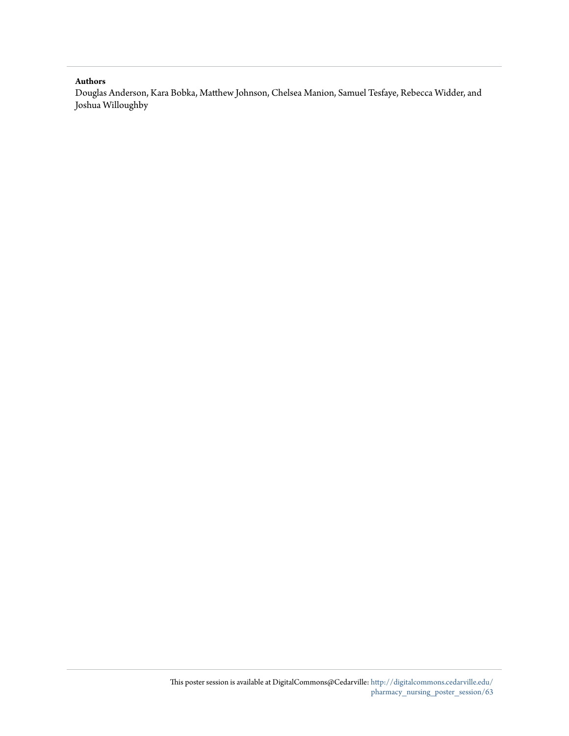#### **Authors**

Douglas Anderson, Kara Bobka, Matthew Johnson, Chelsea Manion, Samuel Tesfaye, Rebecca Widder, and Joshua Willoughby